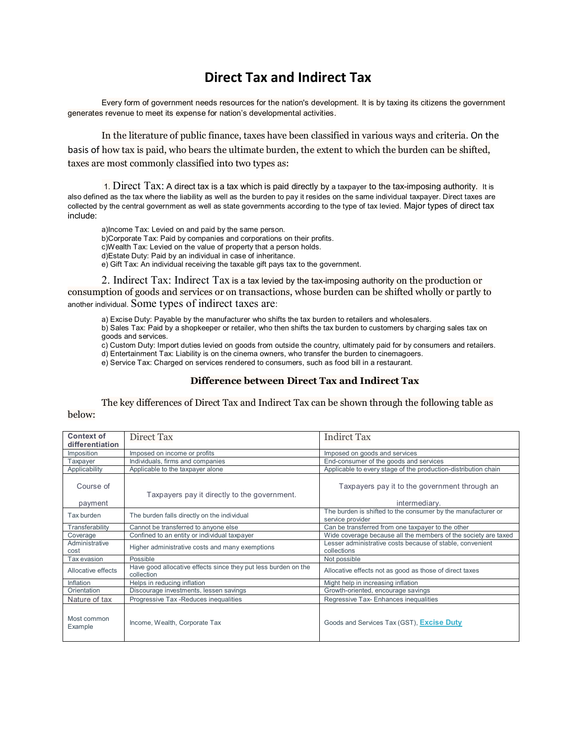## **Direct Tax and Indirect Tax**

Every form of government needs resources for the nation's development. It is by taxing its citizens the government generates revenue to meet its expense for nation's developmental activities.

In the literature of public [finance,](https://www.britannica.com/topic/finance) taxes have been classified in various ways and [criteria](https://www.merriam-webster.com/dictionary/criteria). On the basis of how tax is paid, who bears the ultimate burden, the extent to which the burden can be shifted, taxes are most commonly classified into two types as:

1. Direct Tax: A direct tax is a tax which is paid directly by a taxpayer to the tax-imposing authority. It is also defined as the tax where the liability as well as the burden to pay it resides on the same individual taxpayer. Direct taxes are collected by the central government as well as state governments according to the type of tax levied. Major types of direct tax include:

a[\)Income Tax:](https://www.bankbazaar.com/income-tax.html) Levied on and paid by the same person. b[\)Corporate Tax:](https://www.bankbazaar.com/tax/corporate-tax.html) Paid by companies and corporations on their profits. [c\)Wealth Tax:](https://www.bankbazaar.com/tax/wealth-tax.html) Levied on the value of property that a person holds. d)Estate Duty: Paid by an individual in case of inheritance. e[\) Gift Tax:](https://www.bankbazaar.com/tax/gift-tax.html) An individual receiving the taxable gift pays tax to the government.

2. Indirect Tax: Indirect Tax is a tax levied by the tax-imposing authority on the production or consumption of goods and services or on transactions, whose burden can be shifted wholly or partly to another individual. Some types of indirect taxes are:

a[\) Excise Duty:](https://www.bankbazaar.com/tax/excise-duty.html) Payable by the manufacturer who shifts the tax burden to retailers and wholesalers.

b[\) Sales Tax:](https://www.bankbazaar.com/sales-tax.html) Paid by a shopkeeper or retailer, who then shifts the tax burden to customers by charging sales tax on goods and services.

c) [Custom Duty:](https://www.bankbazaar.com/tax/custom-duty.html) Import duties levied on goods from outside the country, ultimately paid for by consumers and retailers. d[\) Entertainment Tax:](https://www.bankbazaar.com/tax/entertainment-tax.html) Liability is on the cinema owners, who transfer the burden to cinemagoers.

e[\) Service Tax:](https://www.bankbazaar.com/tax/service-tax.html) Charged on services rendered to consumers, such as food bill in a restaurant.

## **Difference between Direct Tax and Indirect Tax**

The key differences of Direct Tax and Indirect Tax can be shown through the following table as below:

| <b>Context of</b><br>differentiation | Direct Tax                                                                   | <b>Indirct Tax</b>                                                               |
|--------------------------------------|------------------------------------------------------------------------------|----------------------------------------------------------------------------------|
| Imposition                           | Imposed on income or profits                                                 | Imposed on goods and services                                                    |
| Taxpayer                             | Individuals, firms and companies                                             | End-consumer of the goods and services                                           |
| Applicability                        | Applicable to the taxpayer alone                                             | Applicable to every stage of the production-distribution chain                   |
| Course of<br>payment                 | Taxpayers pay it directly to the government.                                 | Taxpayers pay it to the government through an<br>intermediary.                   |
| Tax burden                           | The burden falls directly on the individual                                  | The burden is shifted to the consumer by the manufacturer or<br>service provider |
| Transferability                      | Cannot be transferred to anyone else                                         | Can be transferred from one taxpayer to the other                                |
| Coverage                             | Confined to an entity or individual taxpayer                                 | Wide coverage because all the members of the society are taxed                   |
| Administrative<br>cost               | Higher administrative costs and many exemptions                              | Lesser administrative costs because of stable, convenient<br>collections         |
| Tax evasion                          | Possible                                                                     | Not possible                                                                     |
| Allocative effects                   | Have good allocative effects since they put less burden on the<br>collection | Allocative effects not as good as those of direct taxes                          |
| Inflation                            | Helps in reducing inflation                                                  | Might help in increasing inflation                                               |
| Orientation                          | Discourage investments, lessen savings                                       | Growth-oriented, encourage savings                                               |
| Nature of tax                        | Progressive Tax - Reduces inequalities                                       | Regressive Tax-Enhances inequalities                                             |
| Most common<br>Example               | Income, Wealth, Corporate Tax                                                | Goods and Services Tax (GST), Excise Duty                                        |